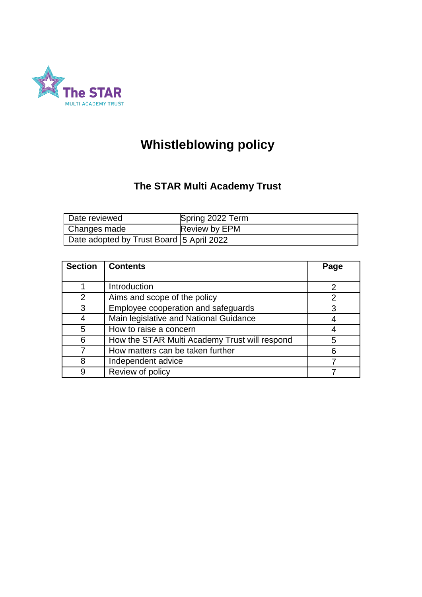

# **Whistleblowing policy**

# **The STAR Multi Academy Trust**

| Date reviewed                            | Spring 2022 Term |
|------------------------------------------|------------------|
| Changes made                             | Review by EPM    |
| Date adopted by Trust Board 5 April 2022 |                  |

| <b>Section</b> | <b>Contents</b>                               | Page |
|----------------|-----------------------------------------------|------|
|                |                                               |      |
|                | Introduction                                  |      |
| 2              | Aims and scope of the policy                  | 2    |
| 3              | Employee cooperation and safeguards           | 3    |
|                | Main legislative and National Guidance        |      |
| 5              | How to raise a concern                        |      |
| 6              | How the STAR Multi Academy Trust will respond | 5    |
|                | How matters can be taken further              | 6    |
|                | Independent advice                            |      |
|                | Review of policy                              |      |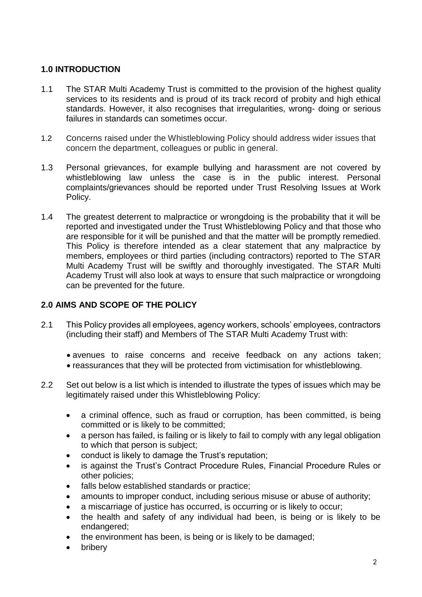# **1.0 INTRODUCTION**

- 1.1 The STAR Multi Academy Trust is committed to the provision of the highest quality services to its residents and is proud of its track record of probity and high ethical standards. However, it also recognises that irregularities, wrong- doing or serious failures in standards can sometimes occur.
- 1.2 Concerns raised under the Whistleblowing Policy should address wider issues that concern the department, colleagues or public in general.
- 1.3 Personal grievances, for example bullying and harassment are not covered by whistleblowing law unless the case is in the public interest. Personal complaints/grievances should be reported under Trust Resolving Issues at Work Policy.
- 1.4 The greatest deterrent to malpractice or wrongdoing is the probability that it will be reported and investigated under the Trust Whistleblowing Policy and that those who are responsible for it will be punished and that the matter will be promptly remedied. This Policy is therefore intended as a clear statement that any malpractice by members, employees or third parties (including contractors) reported to The STAR Multi Academy Trust will be swiftly and thoroughly investigated. The STAR Multi Academy Trust will also look at ways to ensure that such malpractice or wrongdoing can be prevented for the future.

# **2.0 AIMS AND SCOPE OF THE POLICY**

- 2.1 This Policy provides all employees, agency workers, schools' employees, contractors (including their staff) and Members of The STAR Multi Academy Trust with:
	- avenues to raise concerns and receive feedback on any actions taken;
	- reassurances that they will be protected from victimisation for whistleblowing.
- 2.2 Set out below is a list which is intended to illustrate the types of issues which may be legitimately raised under this Whistleblowing Policy:
	- a criminal offence, such as fraud or corruption, has been committed, is being committed or is likely to be committed;
	- a person has failed, is failing or is likely to fail to comply with any legal obligation to which that person is subject;
	- conduct is likely to damage the Trust's reputation;
	- is against the Trust's Contract Procedure Rules, Financial Procedure Rules or other policies;
	- falls below established standards or practice;
	- amounts to improper conduct, including serious misuse or abuse of authority;
	- a miscarriage of justice has occurred, is occurring or is likely to occur;
	- the health and safety of any individual had been, is being or is likely to be endangered;
	- the environment has been, is being or is likely to be damaged;
	- bribery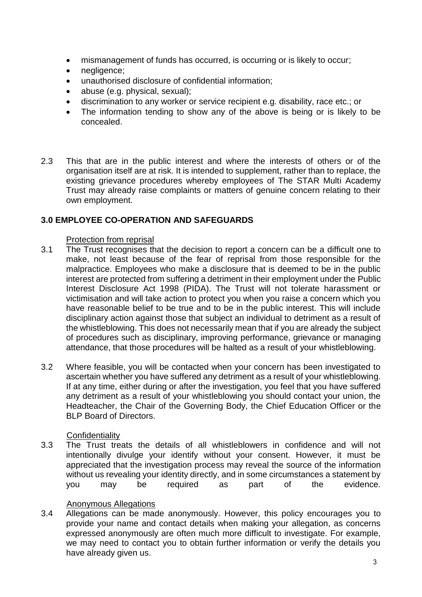- mismanagement of funds has occurred, is occurring or is likely to occur;
- negligence;
- unauthorised disclosure of confidential information;
- abuse (e.g. physical, sexual);
- discrimination to any worker or service recipient e.g. disability, race etc.; or
- The information tending to show any of the above is being or is likely to be concealed.
- 2.3 This that are in the public interest and where the interests of others or of the organisation itself are at risk. It is intended to supplement, rather than to replace, the existing grievance procedures whereby employees of The STAR Multi Academy Trust may already raise complaints or matters of genuine concern relating to their own employment.

#### **3.0 EMPLOYEE CO-OPERATION AND SAFEGUARDS**

#### Protection from reprisal

- 3.1 The Trust recognises that the decision to report a concern can be a difficult one to make, not least because of the fear of reprisal from those responsible for the malpractice. Employees who make a disclosure that is deemed to be in the public interest are protected from suffering a detriment in their employment under the Public Interest Disclosure Act 1998 (PIDA). The Trust will not tolerate harassment or victimisation and will take action to protect you when you raise a concern which you have reasonable belief to be true and to be in the public interest. This will include disciplinary action against those that subject an individual to detriment as a result of the whistleblowing. This does not necessarily mean that if you are already the subject of procedures such as disciplinary, improving performance, grievance or managing attendance, that those procedures will be halted as a result of your whistleblowing.
- 3.2 Where feasible, you will be contacted when your concern has been investigated to ascertain whether you have suffered any detriment as a result of your whistleblowing. If at any time, either during or after the investigation, you feel that you have suffered any detriment as a result of your whistleblowing you should contact your union, the Headteacher, the Chair of the Governing Body, the Chief Education Officer or the BLP Board of Directors.

#### **Confidentiality**

3.3 The Trust treats the details of all whistleblowers in confidence and will not intentionally divulge your identify without your consent. However, it must be appreciated that the investigation process may reveal the source of the information without us revealing your identity directly, and in some circumstances a statement by you may be required as part of the evidence.

#### Anonymous Allegations

3.4 Allegations can be made anonymously. However, this policy encourages you to provide your name and contact details when making your allegation, as concerns expressed anonymously are often much more difficult to investigate. For example, we may need to contact you to obtain further information or verify the details you have already given us.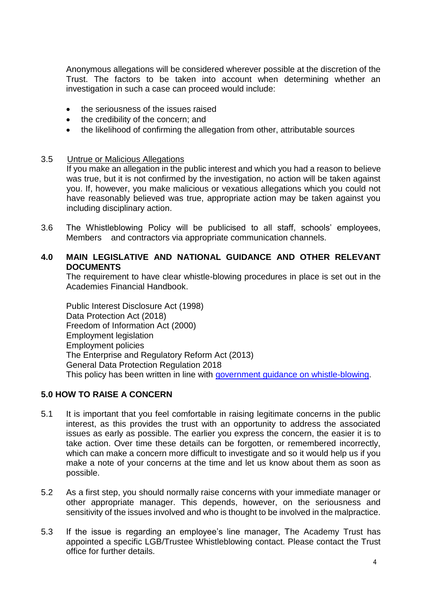Anonymous allegations will be considered wherever possible at the discretion of the Trust. The factors to be taken into account when determining whether an investigation in such a case can proceed would include:

- the seriousness of the issues raised
- the credibility of the concern; and
- the likelihood of confirming the allegation from other, attributable sources

#### 3.5 Untrue or Malicious Allegations

If you make an allegation in the public interest and which you had a reason to believe was true, but it is not confirmed by the investigation, no action will be taken against you. If, however, you make malicious or vexatious allegations which you could not have reasonably believed was true, appropriate action may be taken against you including disciplinary action.

3.6 The Whistleblowing Policy will be publicised to all staff, schools' employees, Members and contractors via appropriate communication channels.

#### **4.0 MAIN LEGISLATIVE AND NATIONAL GUIDANCE AND OTHER RELEVANT DOCUMENTS**

The requirement to have clear whistle-blowing procedures in place is set out in the Academies Financial Handbook.

Public Interest Disclosure Act (1998) Data Protection Act (2018) Freedom of Information Act (2000) Employment legislation Employment policies The Enterprise and Regulatory Reform Act (2013) General Data Protection Regulation 2018 This policy has been written in line with [government guidance on whistle-blowing.](https://www.gov.uk/whistleblowing)

# **5.0 HOW TO RAISE A CONCERN**

- 5.1 It is important that you feel comfortable in raising legitimate concerns in the public interest, as this provides the trust with an opportunity to address the associated issues as early as possible. The earlier you express the concern, the easier it is to take action. Over time these details can be forgotten, or remembered incorrectly, which can make a concern more difficult to investigate and so it would help us if you make a note of your concerns at the time and let us know about them as soon as possible.
- 5.2 As a first step, you should normally raise concerns with your immediate manager or other appropriate manager. This depends, however, on the seriousness and sensitivity of the issues involved and who is thought to be involved in the malpractice.
- 5.3 If the issue is regarding an employee's line manager, The Academy Trust has appointed a specific LGB/Trustee Whistleblowing contact. Please contact the Trust office for further details.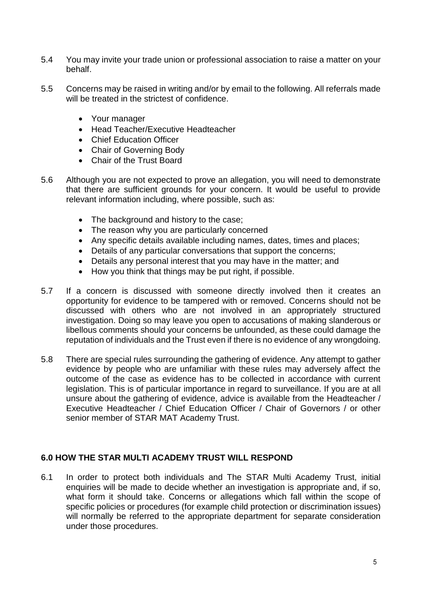- 5.4 You may invite your trade union or professional association to raise a matter on your behalf.
- 5.5 Concerns may be raised in writing and/or by email to the following. All referrals made will be treated in the strictest of confidence.
	- Your manager
	- Head Teacher/Executive Headteacher
	- Chief Education Officer
	- Chair of Governing Body
	- Chair of the Trust Board
- 5.6 Although you are not expected to prove an allegation, you will need to demonstrate that there are sufficient grounds for your concern. It would be useful to provide relevant information including, where possible, such as:
	- The background and history to the case;
	- The reason why you are particularly concerned
	- Any specific details available including names, dates, times and places;
	- Details of any particular conversations that support the concerns;
	- Details any personal interest that you may have in the matter; and
	- How you think that things may be put right, if possible.
- 5.7 If a concern is discussed with someone directly involved then it creates an opportunity for evidence to be tampered with or removed. Concerns should not be discussed with others who are not involved in an appropriately structured investigation. Doing so may leave you open to accusations of making slanderous or libellous comments should your concerns be unfounded, as these could damage the reputation of individuals and the Trust even if there is no evidence of any wrongdoing.
- 5.8 There are special rules surrounding the gathering of evidence. Any attempt to gather evidence by people who are unfamiliar with these rules may adversely affect the outcome of the case as evidence has to be collected in accordance with current legislation. This is of particular importance in regard to surveillance. If you are at all unsure about the gathering of evidence, advice is available from the Headteacher / Executive Headteacher / Chief Education Officer / Chair of Governors / or other senior member of STAR MAT Academy Trust.

# **6.0 HOW THE STAR MULTI ACADEMY TRUST WILL RESPOND**

6.1 In order to protect both individuals and The STAR Multi Academy Trust, initial enquiries will be made to decide whether an investigation is appropriate and, if so, what form it should take. Concerns or allegations which fall within the scope of specific policies or procedures (for example child protection or discrimination issues) will normally be referred to the appropriate department for separate consideration under those procedures.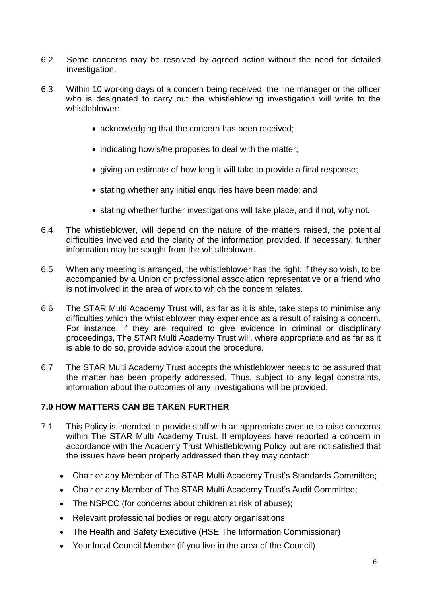- 6.2 Some concerns may be resolved by agreed action without the need for detailed investigation.
- 6.3 Within 10 working days of a concern being received, the line manager or the officer who is designated to carry out the whistleblowing investigation will write to the whistleblower:
	- acknowledging that the concern has been received;
	- indicating how s/he proposes to deal with the matter;
	- giving an estimate of how long it will take to provide a final response;
	- stating whether any initial enquiries have been made; and
	- stating whether further investigations will take place, and if not, why not.
- 6.4 The whistleblower, will depend on the nature of the matters raised, the potential difficulties involved and the clarity of the information provided. If necessary, further information may be sought from the whistleblower.
- 6.5 When any meeting is arranged, the whistleblower has the right, if they so wish, to be accompanied by a Union or professional association representative or a friend who is not involved in the area of work to which the concern relates.
- 6.6 The STAR Multi Academy Trust will, as far as it is able, take steps to minimise any difficulties which the whistleblower may experience as a result of raising a concern. For instance, if they are required to give evidence in criminal or disciplinary proceedings, The STAR Multi Academy Trust will, where appropriate and as far as it is able to do so, provide advice about the procedure.
- 6.7 The STAR Multi Academy Trust accepts the whistleblower needs to be assured that the matter has been properly addressed. Thus, subject to any legal constraints, information about the outcomes of any investigations will be provided.

# **7.0 HOW MATTERS CAN BE TAKEN FURTHER**

- 7.1 This Policy is intended to provide staff with an appropriate avenue to raise concerns within The STAR Multi Academy Trust. If employees have reported a concern in accordance with the Academy Trust Whistleblowing Policy but are not satisfied that the issues have been properly addressed then they may contact:
	- Chair or any Member of The STAR Multi Academy Trust's Standards Committee;
	- Chair or any Member of The STAR Multi Academy Trust's Audit Committee;
	- The NSPCC (for concerns about children at risk of abuse);
	- Relevant professional bodies or regulatory organisations
	- The Health and Safety Executive (HSE The Information Commissioner)
	- Your local Council Member (if you live in the area of the Council)